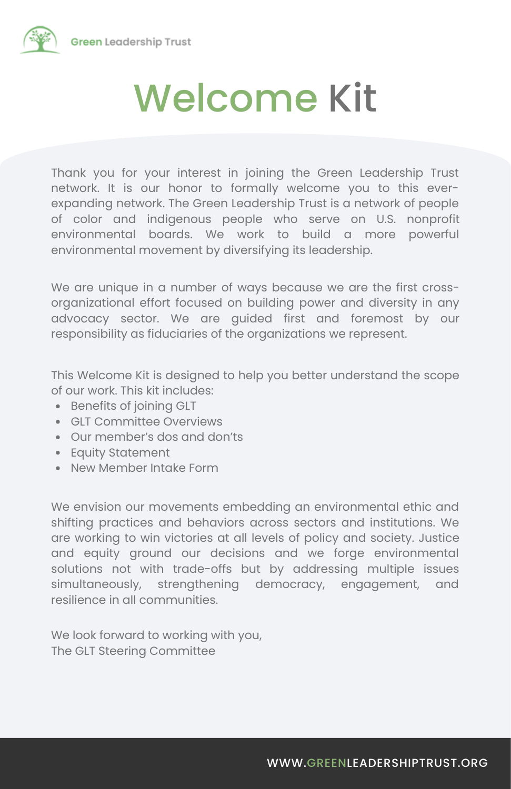

Thank you for your interest in joining the Green Leadership Trust network. It is our honor to formally welcome you to this everexpanding network. The Green Leadership Trust is a network of people of color and indigenous people who serve on U.S. nonprofit environmental boards. We work to build a more powerful environmental movement by diversifying its leadership.

We are unique in a number of ways because we are the first crossorganizational effort focused on building power and diversity in any advocacy sector. We are guided first and foremost by our responsibility as fiduciaries of the organizations we represent.

This Welcome Kit is designed to help you better understand the scope of our work. This kit includes:

- Benefits of joining GLT
- GLT Committee Overviews
- Our member's dos and don'ts
- Equity Statement
- New Member Intake Form

We envision our movements embedding an environmental ethic and shifting practices and behaviors across sectors and institutions. We are working to win victories at all levels of policy and society. Justice and equity ground our decisions and we forge environmental solutions not with trade-offs but by addressing multiple issues simultaneously, strengthening democracy, engagement, and resilience in all communities.

We look forward to working with you, The GLT Steering Committee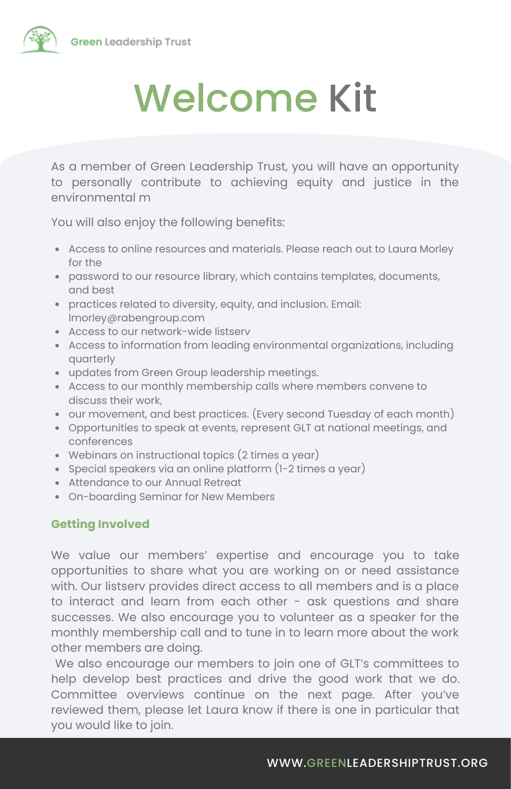

As a member of Green Leadership Trust, you will have an opportunity to personally contribute to achieving equity and justice in the environmental m

You will also enjoy the following benefits:

- Access to online resources and materials. Please reach out to Laura Morley for the
- password to our resource library, which contains templates, documents, and best
- practices related to diversity, equity, and inclusion. Email: lmorley@rabengroup.com
- Access to our network-wide listserv
- Access to information from leading environmental organizations, including quarterly
- updates from Green Group leadership meetings.
- Access to our monthly membership calls where members convene to discuss their work,
- our movement, and best practices. (Every second Tuesday of each month)
- Opportunities to speak at events, represent GLT at national meetings, and conferences
- Webinars on instructional topics (2 times a year)
- Special speakers via an online platform (1-2 times a year)
- Attendance to our Annual Retreat
- On-boarding Seminar for New Members

#### **Getting Involved**

We value our members' expertise and encourage you to take opportunities to share what you are working on or need assistance with. Our listserv provides direct access to all members and is a place to interact and learn from each other - ask questions and share successes. We also encourage you to volunteer as a speaker for the monthly membership call and to tune in to learn more about the work other members are doing.

We also encourage our members to join one of GLT's committees to help develop best practices and drive the good work that we do. Committee overviews continue on the next page. After you've reviewed them, please let Laura know if there is one in particular that you would like to join.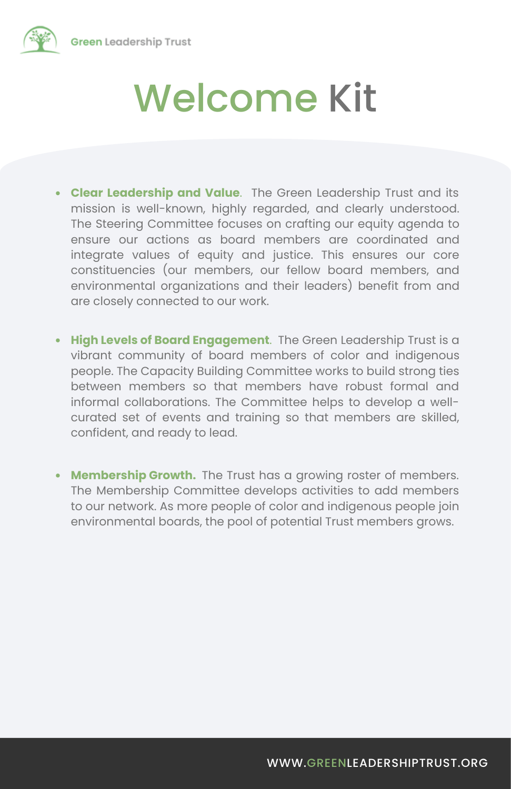

- **Clear Leadership and Value**. The Green Leadership Trust and its mission is well-known, highly regarded, and clearly understood. The Steering Committee focuses on crafting our equity agenda to ensure our actions as board members are coordinated and integrate values of equity and justice. This ensures our core constituencies (our members, our fellow board members, and environmental organizations and their leaders) benefit from and are closely connected to our work.
- **High Levels of Board Engagement**. The Green Leadership Trust is a vibrant community of board members of color and indigenous people. The Capacity Building Committee works to build strong ties between members so that members have robust formal and informal collaborations. The Committee helps to develop a wellcurated set of events and training so that members are skilled, confident, and ready to lead.
- **Membership Growth.** The Trust has a growing roster of members. The Membership Committee develops activities to add members to our network. As more people of color and indigenous people join environmental boards, the pool of potential Trust members grows.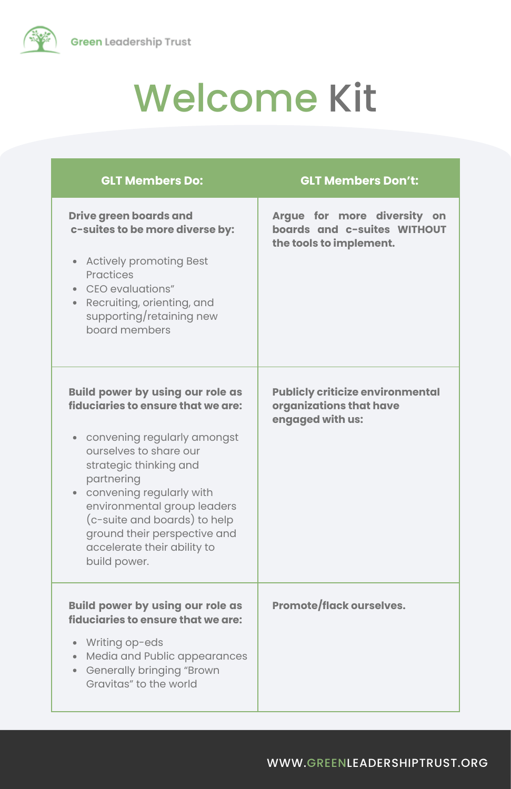

| <b>GLT Members Do:</b>                                                                                                                                                                                                                                                                                                                                     | <b>GLT Members Don't:</b>                                                              |
|------------------------------------------------------------------------------------------------------------------------------------------------------------------------------------------------------------------------------------------------------------------------------------------------------------------------------------------------------------|----------------------------------------------------------------------------------------|
| <b>Drive green boards and</b><br>c-suites to be more diverse by:<br>• Actively promoting Best<br>Practices<br>CEO evaluations"<br>• Recruiting, orienting, and<br>supporting/retaining new<br>board members                                                                                                                                                | Argue for more diversity on<br>boards and c-suites WITHOUT<br>the tools to implement.  |
| <b>Build power by using our role as</b><br>fiduciaries to ensure that we are:<br>convening regularly amongst<br>ourselves to share our<br>strategic thinking and<br>partnering<br>• convening regularly with<br>environmental group leaders<br>(c-suite and boards) to help<br>ground their perspective and<br>accelerate their ability to<br>build power. | <b>Publicly criticize environmental</b><br>organizations that have<br>engaged with us: |
| <b>Build power by using our role as</b><br>fiduciaries to ensure that we are:<br>• Writing op-eds<br>Media and Public appearances<br><b>Generally bringing "Brown</b><br>Gravitas" to the world                                                                                                                                                            | <b>Promote/flack ourselves.</b>                                                        |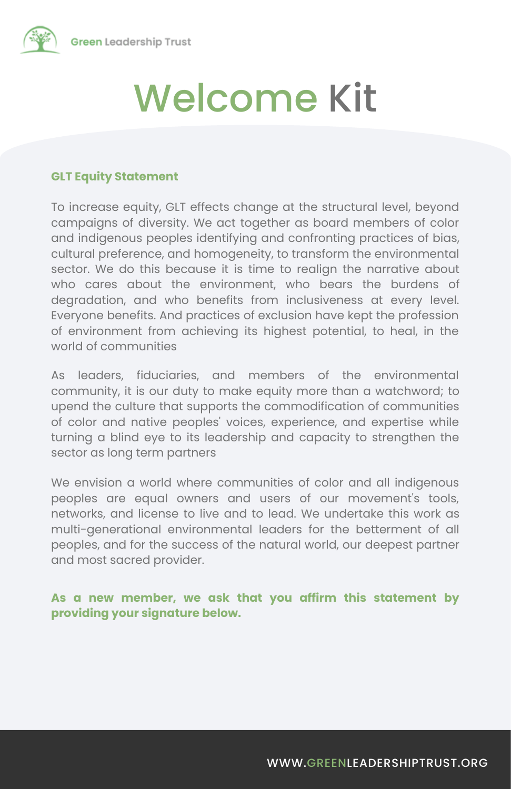

#### **GLT Equity Statement**

To increase equity, GLT effects change at the structural level, beyond campaigns of diversity. We act together as board members of color and indigenous peoples identifying and confronting practices of bias, cultural preference, and homogeneity, to transform the environmental sector. We do this because it is time to realign the narrative about who cares about the environment, who bears the burdens of degradation, and who benefits from inclusiveness at every level. Everyone benefits. And practices of exclusion have kept the profession of environment from achieving its highest potential, to heal, in the world of communities

As leaders, fiduciaries, and members of the environmental community, it is our duty to make equity more than a watchword; to upend the culture that supports the commodification of communities of color and native peoples' voices, experience, and expertise while turning a blind eye to its leadership and capacity to strengthen the sector as long term partners

We envision a world where communities of color and all indigenous peoples are equal owners and users of our movement's tools, networks, and license to live and to lead. We undertake this work as multi-generational environmental leaders for the betterment of all peoples, and for the success of the natural world, our deepest partner and most sacred provider.

#### **As a new member, we ask that you affirm this statement by providing your signature below.**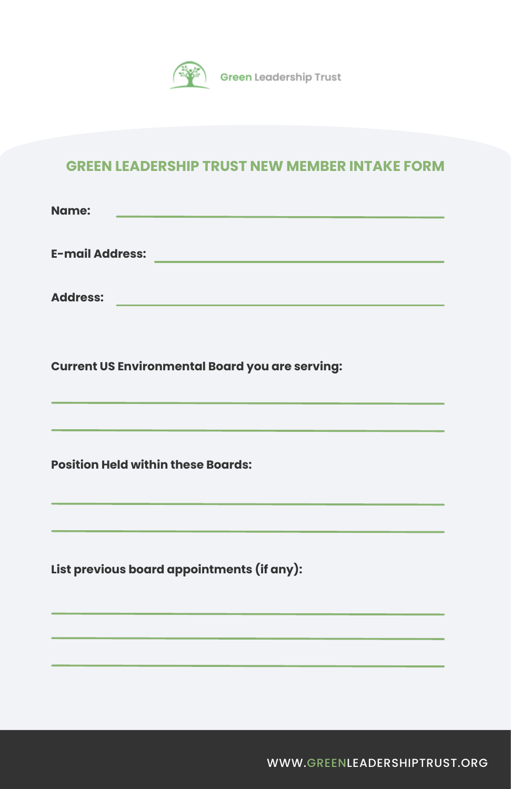

#### **GREEN LEADERSHIP TRUST NEW MEMBER INTAKE FORM**

**Name:**

**E-mail Address:**

**Address:**

**Current US Environmental Board you are serving:**

**Position Held within these Boards:**

**List previous board appointments (if any):**

[WWW.GREENLEADERSHIPTRUST.ORG](https://www.greenleadershiptrust.org/)